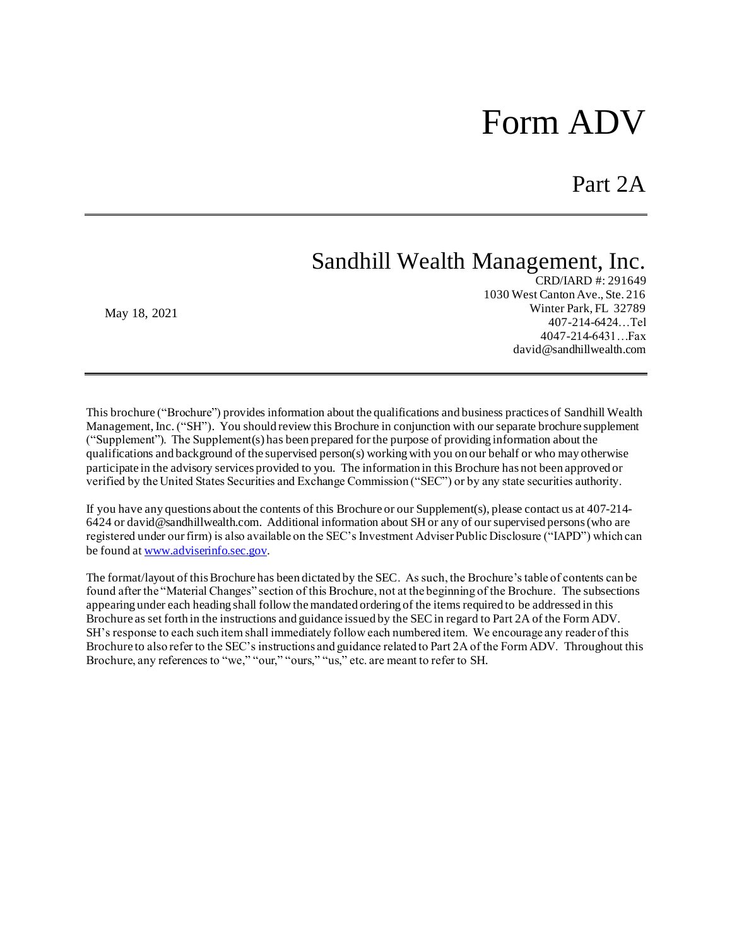# Form ADV

Part 2A

# Sandhill Wealth Management, Inc.

May 18, 2021

CRD/IARD #: 291649 1030 West Canton Ave., Ste. 216 Winter Park, FL 32789 407-214-6424…Tel 4047-214-6431…Fax david@sandhillwealth.com

This brochure ("Brochure") provides information about the qualifications and business practices of Sandhill Wealth Management, Inc. ("SH"). You should review this Brochure in conjunction with our separate brochure supplement ("Supplement"). The Supplement(s) has been prepared forthe purpose of providing information about the qualifications and background of the supervised person(s) working with you on our behalf or who may otherwise participate in the advisory services provided to you. The information in this Brochure has not been approved or verified by the United States Securities and Exchange Commission ("SEC") or by any state securities authority.

If you have any questions about the contents of this Brochure or our Supplement(s), please contact us at 407-214- 6424 or david@sandhillwealth.com. Additional information about SH or any of our supervised persons (who are registered under our firm) is also available on the SEC's Investment Adviser Public Disclosure ("IAPD") which can be found a[t www.adviserinfo.sec.gov.](http://www.adviserinfo.sec.gov/)

The format/layout of this Brochure has been dictated by the SEC. As such, the Brochure's table of contents can be found after the "Material Changes" section of this Brochure, not at the beginning of the Brochure. The subsections appearing under each heading shall follow the mandated ordering of the items required to be addressed in this Brochure as set forth in the instructions and guidance issued by the SEC in regard to Part 2A of the Form ADV. SH's response to each such item shall immediately follow each numbered item. We encourage any reader of this Brochure to also refer to the SEC's instructions and guidance related to Part 2A of the Form ADV. Throughout this Brochure, any references to "we," "our," "ours," "us," etc. are meant to refer to SH.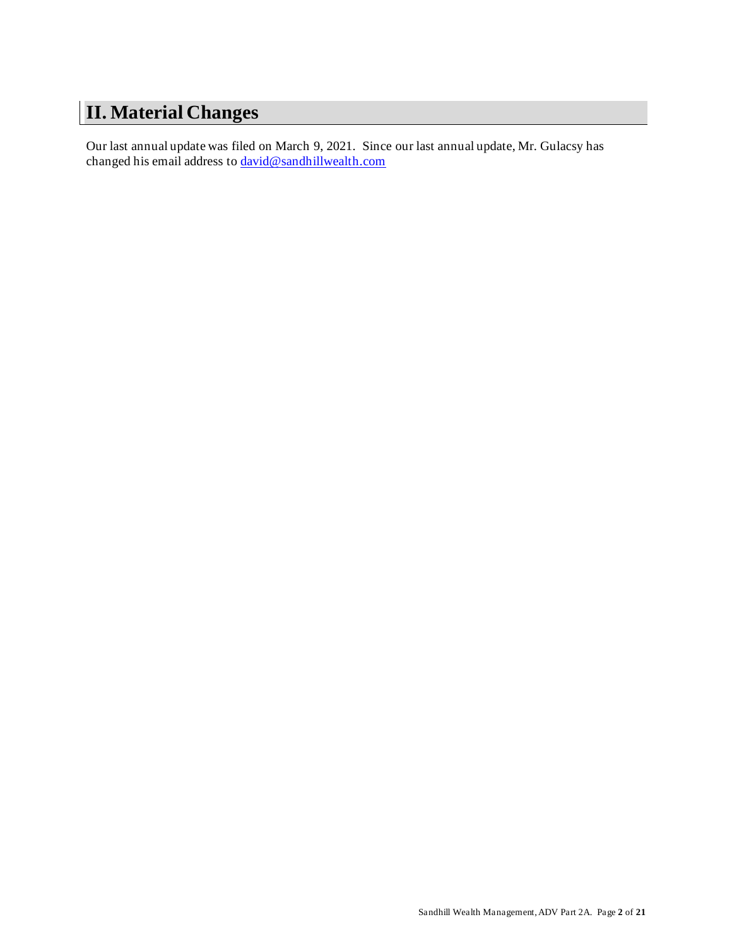# <span id="page-1-0"></span>**II. Material Changes**

Our last annual update was filed on March 9, 2021. Since our last annual update, Mr. Gulacsy has changed his email address to [david@sandhillwealth.com](mailto:david@sandhillwealth.com)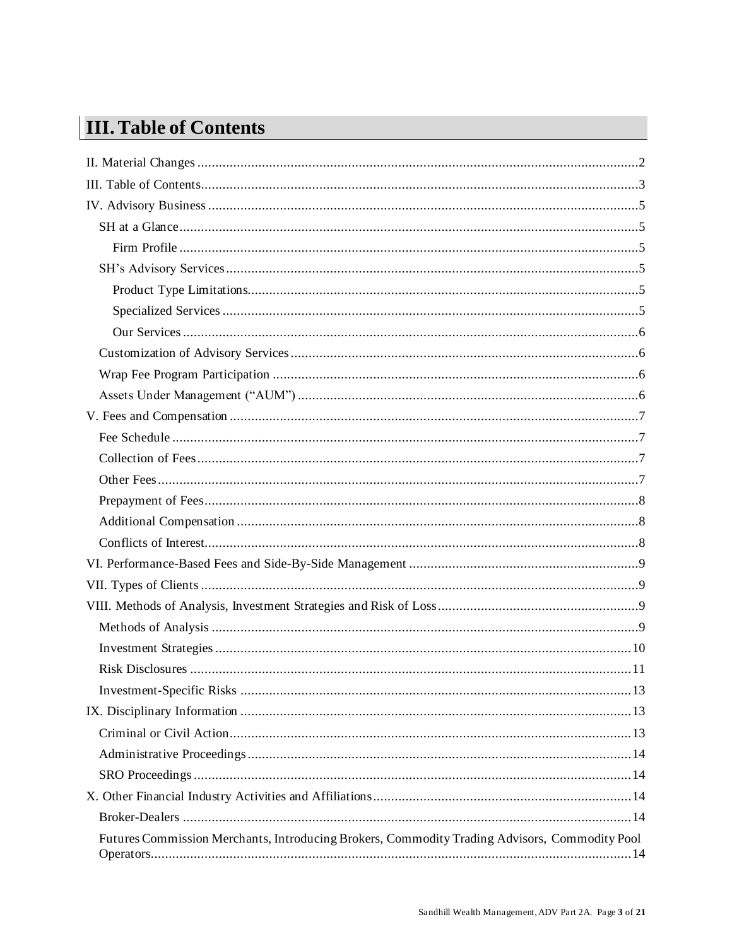# <span id="page-2-0"></span>**III. Table of Contents**

| Futures Commission Merchants, Introducing Brokers, Commodity Trading Advisors, Commodity Pool |
|-----------------------------------------------------------------------------------------------|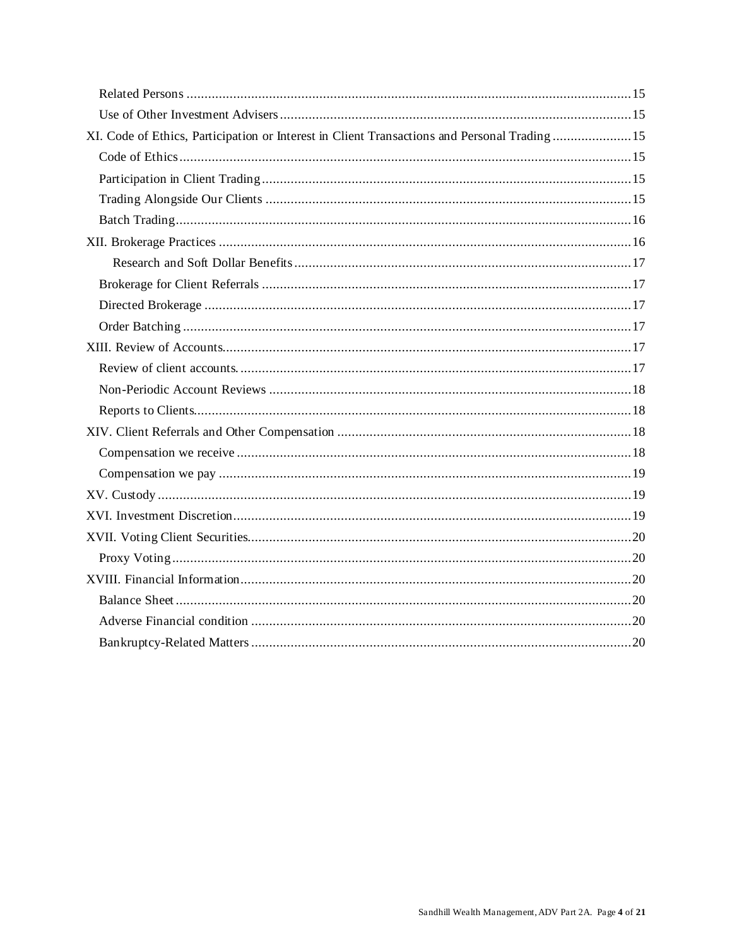| XI. Code of Ethics, Participation or Interest in Client Transactions and Personal Trading15 |
|---------------------------------------------------------------------------------------------|
|                                                                                             |
|                                                                                             |
|                                                                                             |
|                                                                                             |
|                                                                                             |
|                                                                                             |
|                                                                                             |
|                                                                                             |
|                                                                                             |
|                                                                                             |
|                                                                                             |
|                                                                                             |
|                                                                                             |
|                                                                                             |
|                                                                                             |
|                                                                                             |
|                                                                                             |
|                                                                                             |
|                                                                                             |
|                                                                                             |
|                                                                                             |
|                                                                                             |
|                                                                                             |
|                                                                                             |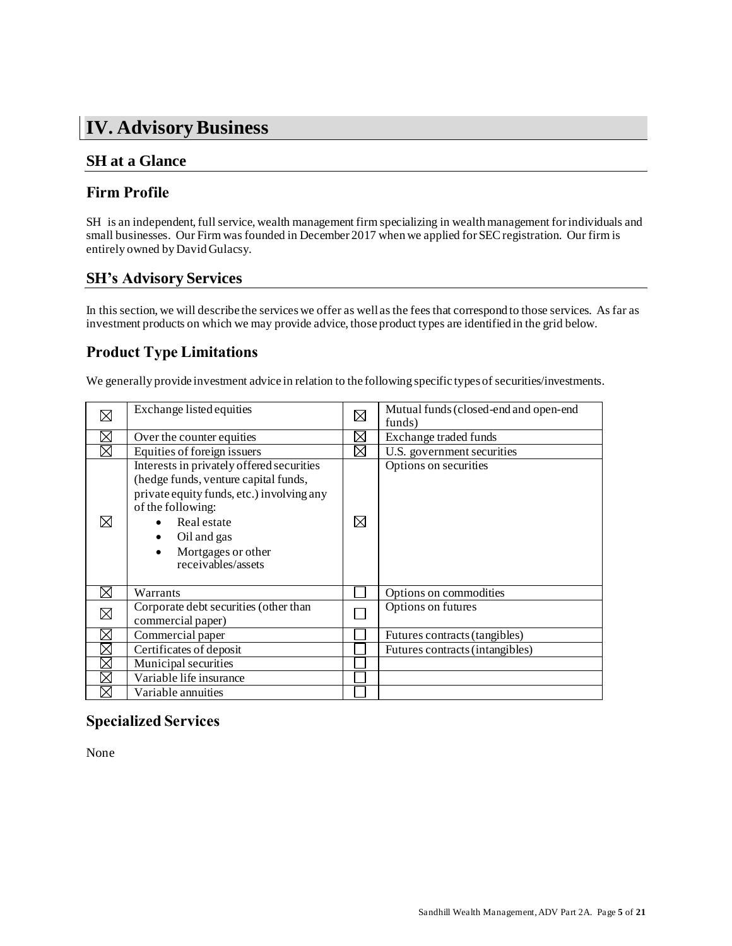# <span id="page-4-0"></span>**IV. Advisory Business**

# <span id="page-4-1"></span>**SH at a Glance**

# <span id="page-4-2"></span>**Firm Profile**

SH is an independent, full service, wealth management firm specializing in wealth management for individuals and small businesses. Our Firm was founded in December 2017 when we applied for SEC registration. Our firm is entirely owned by David Gulacsy.

# <span id="page-4-3"></span>**SH's Advisory Services**

In this section, we will describe the services we offer as well as the fees that correspond to those services. As far as investment products on which we may provide advice, those product types are identified in the grid below.

# <span id="page-4-4"></span>**Product Type Limitations**

We generally provide investment advice in relation to the following specific types of securities/investments.

| ⊠           | Exchange listed equities                                                                                                                                                                                                      | $\boxtimes$ | Mutual funds (closed-end and open-end<br>funds) |
|-------------|-------------------------------------------------------------------------------------------------------------------------------------------------------------------------------------------------------------------------------|-------------|-------------------------------------------------|
| ⊠           | Over the counter equities                                                                                                                                                                                                     | ⋈           | Exchange traded funds                           |
| ⊠           | Equities of foreign issuers                                                                                                                                                                                                   | ⊠           | U.S. government securities                      |
| ⊠           | Interests in privately offered securities<br>(hedge funds, venture capital funds,<br>private equity funds, etc.) involving any<br>of the following:<br>Real estate<br>Oil and gas<br>Mortgages or other<br>receivables/assets | ⊠           | Options on securities                           |
| ⋈           | Warrants                                                                                                                                                                                                                      |             | Options on commodities                          |
| ⊠           | Corporate debt securities (other than<br>commercial paper)                                                                                                                                                                    |             | Options on futures                              |
| ⊠           | Commercial paper                                                                                                                                                                                                              |             | Futures contracts (tangibles)                   |
| ⊠           | Certificates of deposit                                                                                                                                                                                                       |             | Futures contracts (intangibles)                 |
| $\boxtimes$ | Municipal securities                                                                                                                                                                                                          |             |                                                 |
| ⊠           | Variable life insurance                                                                                                                                                                                                       |             |                                                 |
| ⊠           | Variable annuities                                                                                                                                                                                                            |             |                                                 |

# <span id="page-4-5"></span>**Specialized Services**

None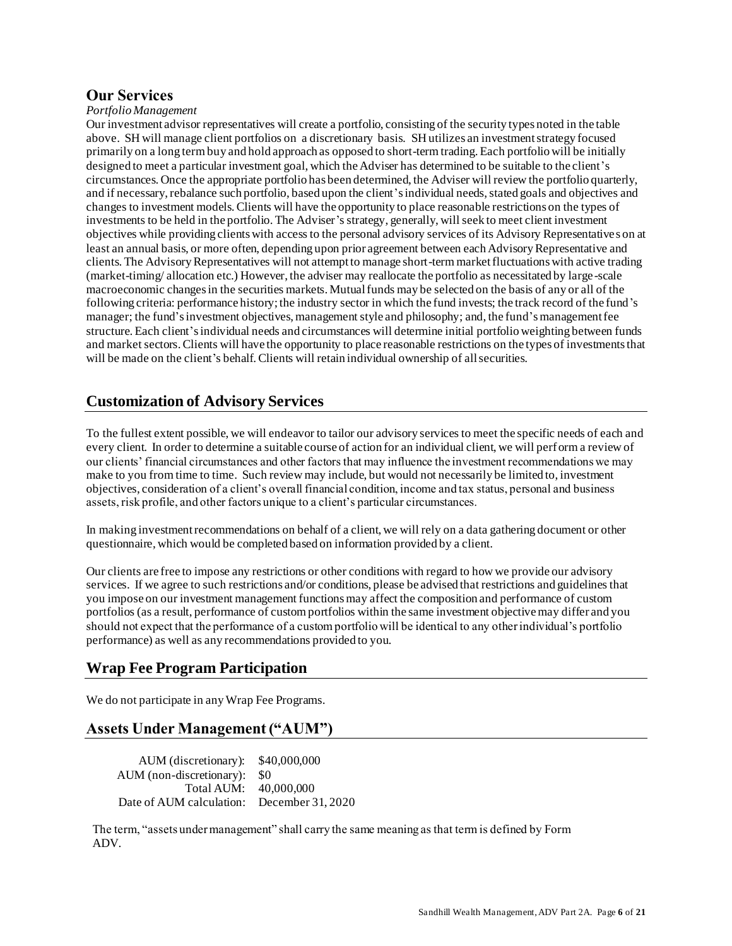### <span id="page-5-0"></span>**Our Services**

#### *Portfolio Management*

Our investment advisor representatives will create a portfolio, consisting of the security types noted in the table above. SH will manage client portfolios on a discretionary basis. SH utilizes an investment strategy focused primarily on a long term buy and hold approach as opposed to short-term trading. Each portfolio will be initially designed to meet a particular investment goal, which the Adviser has determined to be suitable to the client's circumstances. Once the appropriate portfolio has been determined, the Adviser will review the portfolio quarterly, and if necessary, rebalance such portfolio, based upon the client's individual needs, stated goals and objectives and changes to investment models. Clients will have the opportunity to place reasonable restrictions on the types of investments to be held in the portfolio. The Adviser's strategy, generally, will seek to meet client investment objectives while providing clients with access to the personal advisory services of its Advisory Representatives on at least an annual basis, or more often, depending upon prior agreement between each Advisory Representative and clients. The Advisory Representatives will not attempt to manage short-term market fluctuations with active trading (market-timing/ allocation etc.) However, the adviser may reallocate the portfolio as necessitated by large-scale macroeconomic changes in the securities markets. Mutual funds may be selected on the basis of any or all of the following criteria: performance history; the industry sector in which the fund invests; the track record of the fund's manager; the fund's investment objectives, management style and philosophy; and, the fund's management fee structure. Each client's individual needs and circumstances will determine initial portfolio weighting between funds and market sectors. Clients will have the opportunity to place reasonable restrictions on the types of investments that will be made on the client's behalf. Clients will retain individual ownership of all securities.

### <span id="page-5-1"></span>**Customization of Advisory Services**

To the fullest extent possible, we will endeavor to tailor our advisory services to meet the specific needs of each and every client. In order to determine a suitable course of action for an individual client, we will perform a review of our clients' financial circumstances and other factors that may influence the investment recommendations we may make to you from time to time. Such review may include, but would not necessarily be limited to, investment objectives, consideration of a client's overall financial condition, income and tax status, personal and business assets, risk profile, and other factors unique to a client's particular circumstances.

In making investment recommendations on behalf of a client, we will rely on a data gathering document or other questionnaire, which would be completed based on information provided by a client.

Our clients are free to impose any restrictions or other conditions with regard to how we provide our advisory services. If we agree to such restrictions and/or conditions, please be advised that restrictions and guidelines that you impose on our investment management functions may affect the composition and performance of custom portfolios (as a result, performance of custom portfolios within the same investment objective may differ and you should not expect that the performance of a custom portfolio will be identical to any other individual's portfolio performance) as well as any recommendations provided to you.

# <span id="page-5-2"></span>**Wrap Fee Program Participation**

<span id="page-5-3"></span>We do not participate in any Wrap Fee Programs.

# **Assets Under Management ("AUM")**

AUM (discretionary): \$40,000,000 AUM (non-discretionary): \$0 Total AUM: 40,000,000 Date of AUM calculation: December 31, 2020

The term, "assets under management" shall carry the same meaning as that term is defined by Form ADV.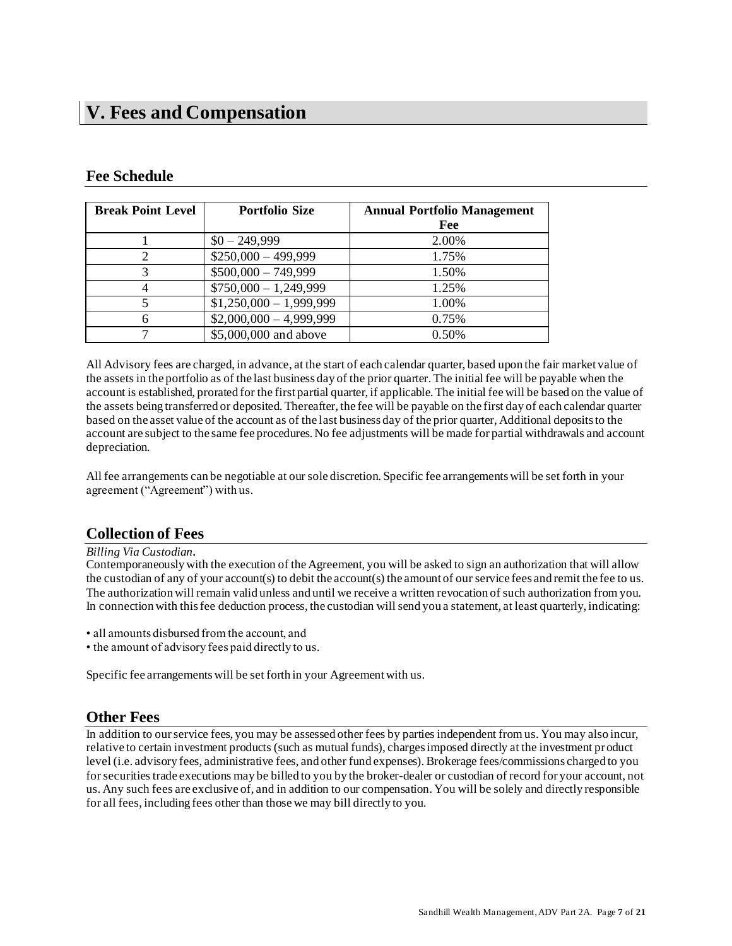# <span id="page-6-0"></span>**V. Fees and Compensation**

# <span id="page-6-1"></span>**Fee Schedule**

| <b>Break Point Level</b> | <b>Portfolio Size</b>    | <b>Annual Portfolio Management</b><br>Fee |
|--------------------------|--------------------------|-------------------------------------------|
|                          | $$0 - 249,999$           | 2.00%                                     |
|                          | $$250,000 - 499,999$     | 1.75%                                     |
|                          | $$500,000 - 749,999$     | 1.50%                                     |
|                          | $$750,000 - 1,249,999$   | 1.25%                                     |
|                          | $$1,250,000 - 1,999,999$ | 1.00%                                     |
|                          | $$2,000,000 - 4,999,999$ | 0.75%                                     |
|                          | \$5,000,000 and above    | 0.50%                                     |

All Advisory fees are charged, in advance, at the start of each calendar quarter, based upon the fair market value of the assets in the portfolio as of the last business day of the prior quarter. The initial fee will be payable when the account is established, prorated for the first partial quarter, if applicable. The initial fee will be based on the value of the assets being transferred or deposited. Thereafter, the fee will be payable on the first day of each calendar quarter based on the asset value of the account as of the last business day of the prior quarter, Additional deposits to the account are subject to the same fee procedures. No fee adjustments will be made for partial withdrawals and account depreciation.

All fee arrangements can be negotiable at our sole discretion. Specific fee arrangements will be set forth in your agreement ("Agreement") with us.

# <span id="page-6-2"></span>**Collection of Fees**

*Billing Via Custodian*.

Contemporaneously with the execution of the Agreement, you will be asked to sign an authorization that will allow the custodian of any of your account(s) to debit the account(s) the amount of our service fees and remit the fee to us. The authorization will remain valid unless and until we receive a written revocation of such authorization from you. In connection with this fee deduction process, the custodian will send you a statement, at least quarterly, indicating:

- all amounts disbursed from the account, and
- the amount of advisory fees paid directly to us.

Specific fee arrangements will be set forth in your Agreement with us.

### <span id="page-6-3"></span>**Other Fees**

In addition to our service fees, you may be assessed other fees by parties independent from us. You may also incur, relative to certain investment products (such as mutual funds), charges imposed directly at the investment product level (i.e. advisory fees, administrative fees, and other fund expenses). Brokerage fees/commissions charged to you for securities trade executions may be billed to you by the broker-dealer or custodian of record for your account, not us. Any such fees are exclusive of, and in addition to our compensation. You will be solely and directly responsible for all fees, including fees other than those we may bill directly to you.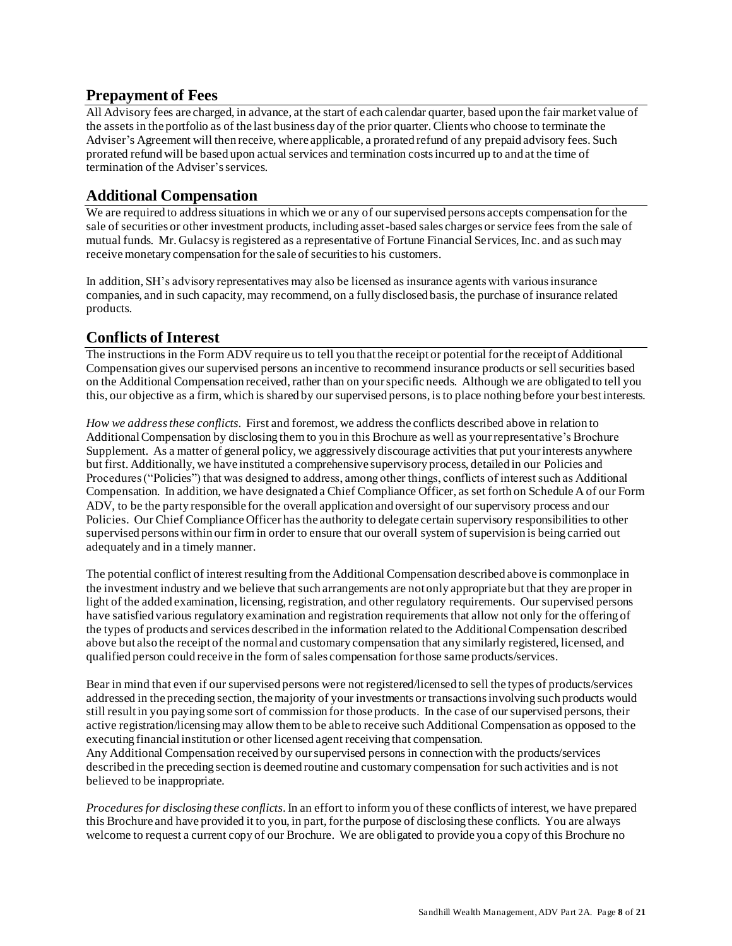# <span id="page-7-0"></span>**Prepayment of Fees**

All Advisory fees are charged, in advance, at the start of each calendar quarter, based upon the fair market value of the assets in the portfolio as of the last business day of the prior quarter. Clients who choose to terminate the Adviser's Agreement will then receive, where applicable, a prorated refund of any prepaid advisory fees. Such prorated refund will be based upon actual services and termination costs incurred up to and at the time of termination of the Adviser's services.

# <span id="page-7-1"></span>**Additional Compensation**

We are required to address situations in which we or any of our supervised persons accepts compensation for the sale of securities or other investment products, including asset-based sales charges or service fees from the sale of mutual funds. Mr. Gulacsy is registered as a representative of Fortune Financial Services, Inc. and as such may receive monetary compensation for the sale of securities to his customers.

In addition, SH's advisory representatives may also be licensed as insurance agents with various insurance companies, and in such capacity, may recommend, on a fully disclosed basis, the purchase of insurance related products.

### <span id="page-7-2"></span>**Conflicts of Interest**

The instructions in the Form ADV require us to tell you that the receipt or potential for the receipt of Additional Compensation gives our supervised persons an incentive to recommend insurance products or sell securities based on the Additional Compensation received, rather than on your specific needs. Although we are obligated to tell you this, our objective as a firm, which is shared by our supervised persons, is to place nothing before your best interests.

*How we address these conflicts*. First and foremost, we address the conflicts described above in relation to Additional Compensation by disclosing them to you in this Brochure as well as your representative's Brochure Supplement. As a matter of general policy, we aggressively discourage activities that put your interests anywhere but first. Additionally, we have instituted a comprehensive supervisory process, detailed in our Policies and Procedures ("Policies") that was designed to address, among other things, conflicts of interest such as Additional Compensation. In addition, we have designated a Chief Compliance Officer, as set forth on Schedule A of our Form ADV, to be the party responsible for the overall application and oversight of our supervisory process and our Policies. Our Chief Compliance Officer has the authority to delegate certain supervisory responsibilities to other supervised persons within our firm in order to ensure that our overall system of supervision is being carried out adequately and in a timely manner.

The potential conflict of interest resulting from the Additional Compensation described above is commonplace in the investment industry and we believe that such arrangements are not only appropriate but that they are proper in light of the added examination, licensing, registration, and other regulatory requirements. Our supervised persons have satisfied various regulatory examination and registration requirements that allow not only for the offering of the types of products and services described in the information related to the Additional Compensation described above but also the receipt of the normal and customary compensation that any similarly registered, licensed, and qualified person could receive in the form of sales compensation for those same products/services.

Bear in mind that even if our supervised persons were not registered/licensed to sell the types of products/services addressed in the preceding section, the majority of your investments or transactions involving such products would still result in you paying some sort of commission for those products. In the case of our supervised persons, their active registration/licensing may allow them to be able to receive such Additional Compensation as opposed to the executing financial institution or other licensed agent receiving that compensation.

Any Additional Compensation received by our supervised persons in connection with the products/services described in the preceding section is deemed routine and customary compensation for such activities and is not believed to be inappropriate.

*Procedures for disclosing these conflicts*. In an effort to inform you of these conflicts of interest, we have prepared this Brochure and have provided it to you, in part, for the purpose of disclosing these conflicts. You are always welcome to request a current copy of our Brochure. We are obligated to provide you a copy of this Brochure no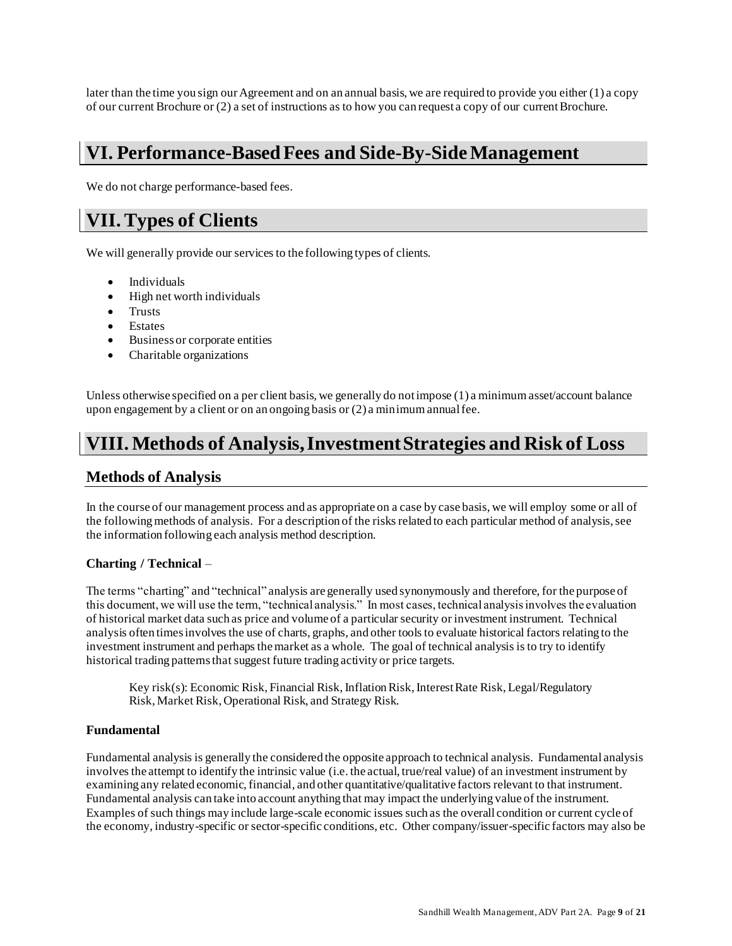later than the time you sign our Agreement and on an annual basis, we are required to provide you either (1) a copy of our current Brochure or (2) a set of instructions as to how you can request a copy of our current Brochure.

# <span id="page-8-0"></span>**VI. Performance-Based Fees and Side-By-Side Management**

We do not charge performance-based fees.

# <span id="page-8-1"></span>**VII.Types of Clients**

We will generally provide our services to the following types of clients.

- Individuals
- High net worth individuals
- Trusts
- Estates
- Business or corporate entities
- Charitable organizations

Unless otherwise specified on a per client basis, we generally do not impose (1) a minimum asset/account balance upon engagement by a client or on an ongoing basis or (2) a minimum annual fee.

# <span id="page-8-2"></span>**VIII. Methods of Analysis, Investment Strategies and Risk of Loss**

### <span id="page-8-3"></span>**Methods of Analysis**

In the course of our management process and as appropriate on a case by case basis, we will employ some or all of the following methods of analysis. For a description of the risks related to each particular method of analysis, see the information following each analysis method description.

#### **Charting / Technical** –

The terms "charting" and "technical" analysis are generally used synonymously and therefore, for the purpose of this document, we will use the term, "technical analysis." In most cases, technical analysis involves the evaluation of historical market data such as price and volume of a particular security or investment instrument. Technical analysis often times involves the use of charts, graphs, and other tools to evaluate historical factors relating to the investment instrument and perhaps the market as a whole. The goal of technical analysis is to try to identify historical trading patterns that suggest future trading activity or price targets.

Key risk(s): Economic Risk, Financial Risk, Inflation Risk, Interest Rate Risk, Legal/Regulatory Risk, Market Risk, Operational Risk, and Strategy Risk.

#### **Fundamental**

Fundamental analysis is generally the considered the opposite approach to technical analysis. Fundamental analysis involves the attempt to identify the intrinsic value (i.e. the actual, true/real value) of an investment instrument by examining any related economic, financial, and other quantitative/qualitative factors relevant to that instrument. Fundamental analysis can take into account anything that may impact the underlying value of the instrument. Examples of such things may include large-scale economic issues such as the overall condition or current cycle of the economy, industry-specific or sector-specific conditions, etc. Other company/issuer-specific factors may also be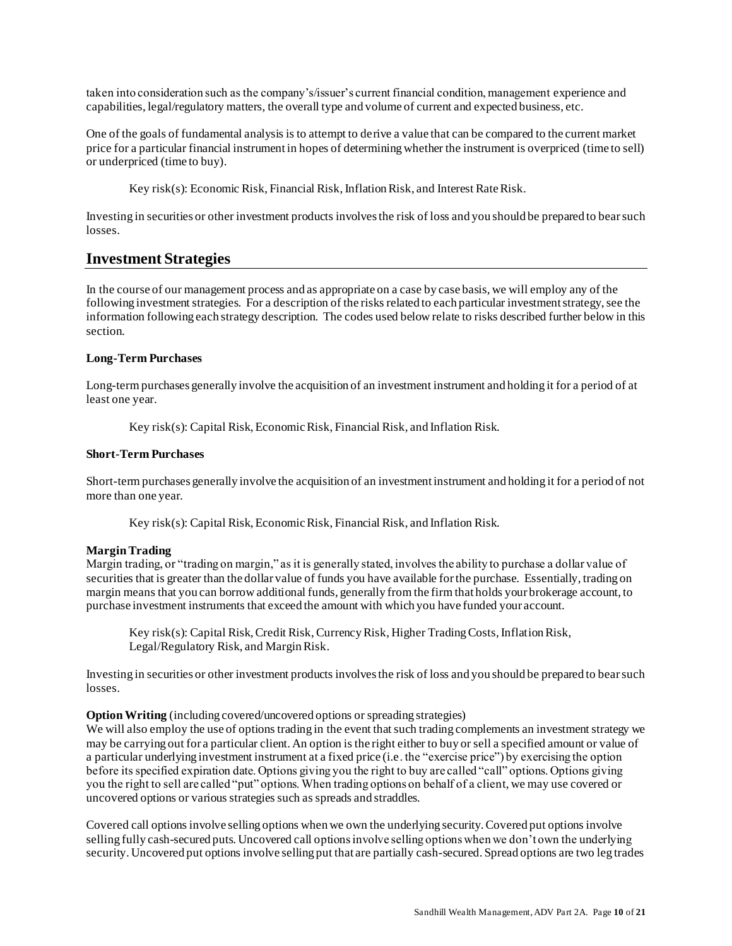taken into consideration such as the company's/issuer's current financial condition, management experience and capabilities, legal/regulatory matters, the overall type and volume of current and expected business, etc.

One of the goals of fundamental analysis is to attempt to derive a value that can be compared to the current market price for a particular financial instrument in hopes of determining whether the instrument is overpriced (time to sell) or underpriced (time to buy).

Key risk(s): Economic Risk, Financial Risk, Inflation Risk, and Interest Rate Risk.

Investing in securities or other investment products involves the risk of loss and you should be prepared to bear such losses.

### <span id="page-9-0"></span>**Investment Strategies**

In the course of our management process and as appropriate on a case by case basis, we will employ any of the following investment strategies. For a description of the risks related to each particular investment strategy, see the information following each strategy description. The codes used below relate to risks described further below in this section.

#### **Long-Term Purchases**

Long-term purchases generally involve the acquisition of an investment instrument and holding it for a period of at least one year.

Key risk(s): Capital Risk, Economic Risk, Financial Risk, and Inflation Risk.

#### **Short-Term Purchases**

Short-term purchases generally involve the acquisition of an investment instrument and holding it for a period of not more than one year.

Key risk(s): Capital Risk, Economic Risk, Financial Risk, and Inflation Risk.

#### **MarginTrading**

Margin trading, or "trading on margin," as it is generally stated, involves the ability to purchase a dollar value of securities that is greater than the dollar value of funds you have available for the purchase. Essentially, trading on margin means that you can borrow additional funds, generally from the firm that holds your brokerage account, to purchase investment instruments that exceed the amount with which you have funded your account.

Key risk(s): Capital Risk, Credit Risk, Currency Risk, Higher Trading Costs, Inflation Risk, Legal/Regulatory Risk, and Margin Risk.

Investing in securities or other investment products involves the risk of loss and you should be prepared to bear such losses.

#### **Option Writing** (including covered/uncovered options or spreading strategies)

We will also employ the use of options trading in the event that such trading complements an investment strategy we may be carrying out for a particular client. An option is the right either to buy or sell a specified amount or value of a particular underlying investment instrument at a fixed price (i.e. the "exercise price") by exercising the option before its specified expiration date. Options giving you the right to buy are called "call" options. Options giving you the right to sell are called "put" options. When trading options on behalf of a client, we may use covered or uncovered options or various strategies such as spreads and straddles.

Covered call options involve selling options when we own the underlying security. Covered put options involve selling fully cash-secured puts. Uncovered call options involve selling options when we don't own the underlying security. Uncovered put options involve selling put that are partially cash-secured. Spread options are two leg trades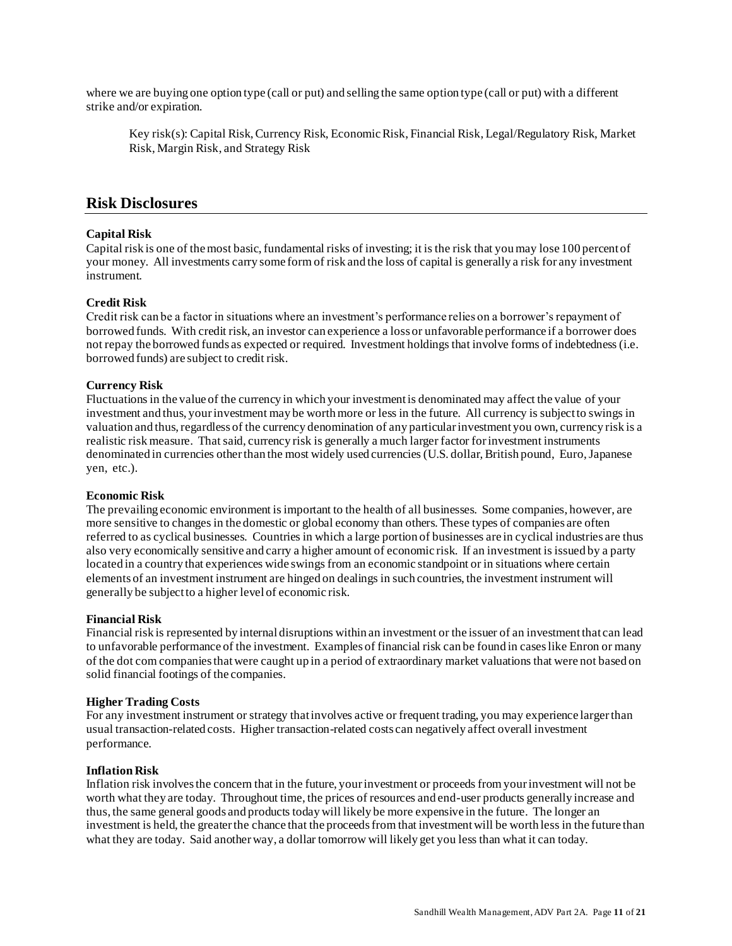where we are buying one option type (call or put) and selling the same option type (call or put) with a different strike and/or expiration.

Key risk(s): Capital Risk, Currency Risk, Economic Risk, Financial Risk, Legal/Regulatory Risk, Market Risk, Margin Risk, and Strategy Risk

### <span id="page-10-0"></span>**Risk Disclosures**

#### **Capital Risk**

Capital risk is one of the most basic, fundamental risks of investing; it is the risk that you may lose 100 percent of your money. All investments carry some form of risk and the loss of capital is generally a risk for any investment instrument.

#### **Credit Risk**

Credit risk can be a factor in situations where an investment's performance relies on a borrower's repayment of borrowed funds. With credit risk, an investor can experience a loss or unfavorable performance if a borrower does not repay the borrowed funds as expected or required. Investment holdings that involve forms of indebtedness (i.e. borrowed funds) are subject to credit risk.

#### **Currency Risk**

Fluctuations in the value of the currency in which your investment is denominated may affect the value of your investment and thus, your investment may be worth more or less in the future. All currency is subject to swings in valuation and thus, regardless of the currency denomination of any particular investment you own, currency risk is a realistic risk measure. That said, currency risk is generally a much larger factor for investment instruments denominated in currencies other than the most widely used currencies (U.S. dollar, British pound, Euro, Japanese yen, etc.).

#### **Economic Risk**

The prevailing economic environment is important to the health of all businesses. Some companies, however, are more sensitive to changes in the domestic or global economy than others. These types of companies are often referred to as cyclical businesses. Countries in which a large portion of businesses are in cyclical industries are thus also very economically sensitive and carry a higher amount of economic risk. If an investment is issued by a party located in a country that experiences wide swings from an economic standpoint or in situations where certain elements of an investment instrument are hinged on dealings in such countries, the investment instrument will generally be subject to a higher level of economic risk.

#### **Financial Risk**

Financial risk is represented by internal disruptions within an investment or the issuer of an investment that can lead to unfavorable performance of the investment. Examples of financial risk can be found in cases like Enron or many of the dot com companies that were caught up in a period of extraordinary market valuations that were not based on solid financial footings of the companies.

#### **Higher Trading Costs**

For any investment instrument or strategy that involves active or frequent trading, you may experience larger than usual transaction-related costs. Higher transaction-related costs can negatively affect overall investment performance.

#### **Inflation Risk**

Inflation risk involves the concern that in the future, your investment or proceeds from your investment will not be worth what they are today. Throughout time, the prices of resources and end-user products generally increase and thus, the same general goods and products today will likely be more expensive in the future. The longer an investment is held, the greater the chance that the proceeds from that investment will be worth less in the future than what they are today. Said another way, a dollar tomorrow will likely get you less than what it can today.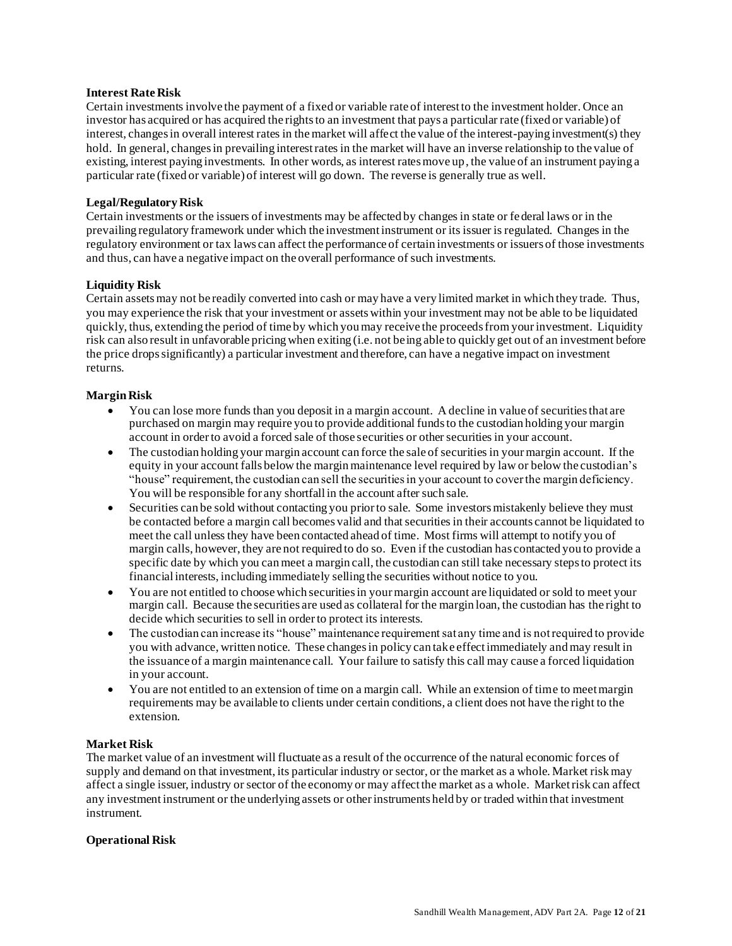#### **Interest Rate Risk**

Certain investments involve the payment of a fixed or variable rate of interest to the investment holder. Once an investor has acquired or has acquired the rights to an investment that pays a particular rate (fixed or variable) of interest, changes in overall interest rates in the market will affect the value of the interest-paying investment(s) they hold. In general, changes in prevailing interest rates in the market will have an inverse relationship to the value of existing, interest paying investments. In other words, as interest rates move up, the value of an instrument paying a particular rate (fixed or variable) of interest will go down. The reverse is generally true as well.

#### **Legal/Regulatory Risk**

Certain investments or the issuers of investments may be affected by changes in state or federal laws or in the prevailing regulatory framework under which the investment instrument or its issuer is regulated. Changes in the regulatory environment or tax laws can affect the performance of certain investments or issuers of those investments and thus, can have a negative impact on the overall performance of such investments.

#### **Liquidity Risk**

Certain assets may not be readily converted into cash or may have a very limited market in which they trade. Thus, you may experience the risk that your investment or assets within your investment may not be able to be liquidated quickly, thus, extending the period of time by which you may receive the proceeds from your investment. Liquidity risk can also result in unfavorable pricing when exiting (i.e. not being able to quickly get out of an investment before the price drops significantly) a particular investment and therefore, can have a negative impact on investment returns.

#### **Margin Risk**

- You can lose more funds than you deposit in a margin account. A decline in value of securities that are purchased on margin may require you to provide additional funds to the custodian holding your margin account in order to avoid a forced sale of those securities or other securities in your account.
- The custodian holding your margin account can force the sale of securities in your margin account. If the equity in your account falls below the margin maintenance level required by law or below the custodian's "house" requirement, the custodian can sell the securities in your account to cover the margin deficiency. You will be responsible for any shortfall in the account after such sale.
- Securities can be sold without contacting you prior to sale. Some investors mistakenly believe they must be contacted before a margin call becomes valid and that securities in their accounts cannot be liquidated to meet the call unless they have been contacted ahead of time. Most firms will attempt to notify you of margin calls, however, they are not required to do so. Even if the custodian has contacted you to provide a specific date by which you can meet a margin call, the custodian can still take necessary steps to protect its financial interests, including immediately selling the securities without notice to you.
- You are not entitled to choose which securities in your margin account are liquidated or sold to meet your margin call. Because the securities are used as collateral for the margin loan, the custodian has the right to decide which securities to sell in order to protect its interests.
- The custodian can increase its "house" maintenance requirement sat any time and is not required to provide you with advance, written notice. These changes in policy can take effect immediately and may result in the issuance of a margin maintenance call. Your failure to satisfy this call may cause a forced liquidation in your account.
- You are not entitled to an extension of time on a margin call. While an extension of time to meet margin requirements may be available to clients under certain conditions, a client does not have the right to the extension.

#### **Market Risk**

The market value of an investment will fluctuate as a result of the occurrence of the natural economic forces of supply and demand on that investment, its particular industry or sector, or the market as a whole. Market risk may affect a single issuer, industry or sector of the economy or may affect the market as a whole. Market risk can affect any investment instrument or the underlying assets or other instruments held by or traded within that investment instrument.

#### **Operational Risk**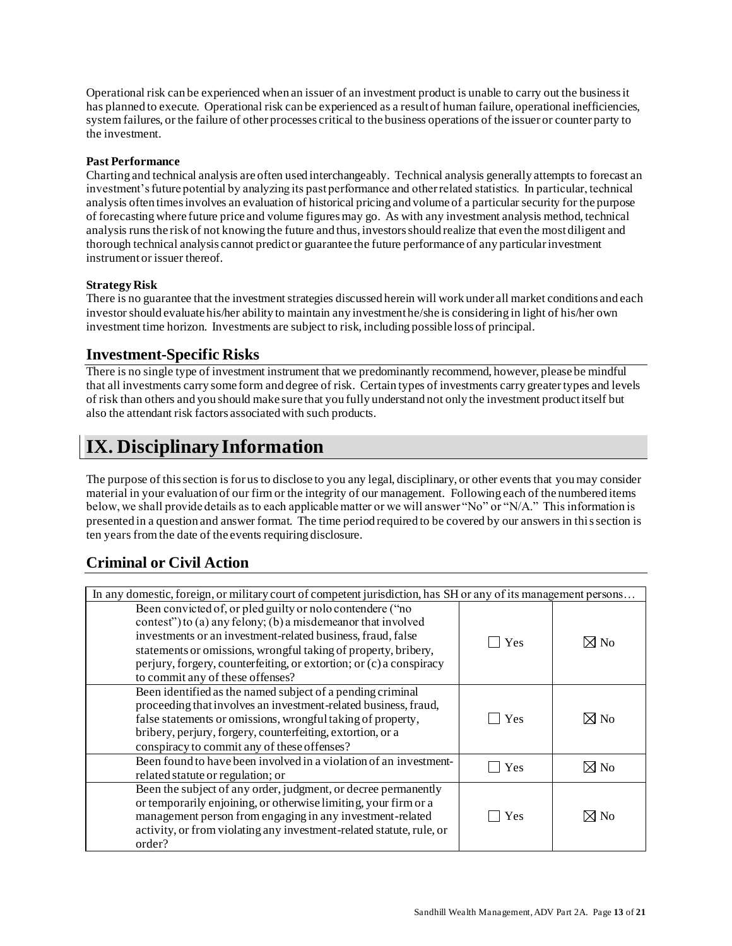Operational risk can be experienced when an issuer of an investment product is unable to carry out the business it has planned to execute. Operational risk can be experienced as a result of human failure, operational inefficiencies, system failures, or the failure of other processes critical to the business operations of the issuer or counter party to the investment.

#### **Past Performance**

Charting and technical analysis are often used interchangeably. Technical analysis generally attempts to forecast an investment's future potential by analyzing its past performance and other related statistics. In particular, technical analysis often times involves an evaluation of historical pricing and volume of a particular security for the purpose of forecasting where future price and volume figures may go. As with any investment analysis method, technical analysis runs the risk of not knowing the future and thus, investors should realize that even the most diligent and thorough technical analysis cannot predict or guarantee the future performance of any particular investment instrument or issuer thereof.

#### **Strategy Risk**

There is no guarantee that the investment strategies discussed herein will work under all market conditions and each investor should evaluate his/her ability to maintain any investment he/she is considering in light of his/her own investment time horizon. Investments are subject to risk, including possible loss of principal.

# <span id="page-12-0"></span>**Investment-Specific Risks**

There is no single type of investment instrument that we predominantly recommend, however, please be mindful that all investments carry some form and degree of risk. Certain types of investments carry greater types and levels of risk than others and you should make sure that you fully understand not only the investment product itself but also the attendant risk factors associated with such products.

# <span id="page-12-1"></span>**IX. Disciplinary Information**

The purpose of this section is for us to disclose to you any legal, disciplinary, or other events that you may consider material in your evaluation of our firm or the integrity of our management. Following each of the numbered items below, we shall provide details as to each applicable matter or we will answer "No" or "N/A." This information is presented in a question and answer format. The time period required to be covered by our answers in this section is ten years from the date of the events requiring disclosure.

# <span id="page-12-2"></span>**Criminal or Civil Action**

| In any domestic, foreign, or military court of competent jurisdiction, has SH or any of its management persons                                                                                                                                                                                                                                                        |     |                |
|-----------------------------------------------------------------------------------------------------------------------------------------------------------------------------------------------------------------------------------------------------------------------------------------------------------------------------------------------------------------------|-----|----------------|
| Been convicted of, or pled guilty or nolo contendere ("no<br>contest") to (a) any felony; (b) a misdemeanor that involved<br>investments or an investment-related business, fraud, false<br>statements or omissions, wrongful taking of property, bribery,<br>perjury, forgery, counterfeiting, or extortion; or (c) a conspiracy<br>to commit any of these offenses? | Yes | $\boxtimes$ No |
| Been identified as the named subject of a pending criminal<br>proceeding that involves an investment-related business, fraud,<br>false statements or omissions, wrongful taking of property,<br>bribery, perjury, forgery, counterfeiting, extortion, or a<br>conspiracy to commit any of these offenses?                                                             | Yes | $\boxtimes$ No |
| Been found to have been involved in a violation of an investment-<br>related statute or regulation; or                                                                                                                                                                                                                                                                | Yes | $\boxtimes$ No |
| Been the subject of any order, judgment, or decree permanently<br>or temporarily enjoining, or otherwise limiting, your firm or a<br>management person from engaging in any investment-related<br>activity, or from violating any investment-related statute, rule, or<br>order?                                                                                      | Yes | $\boxtimes$ No |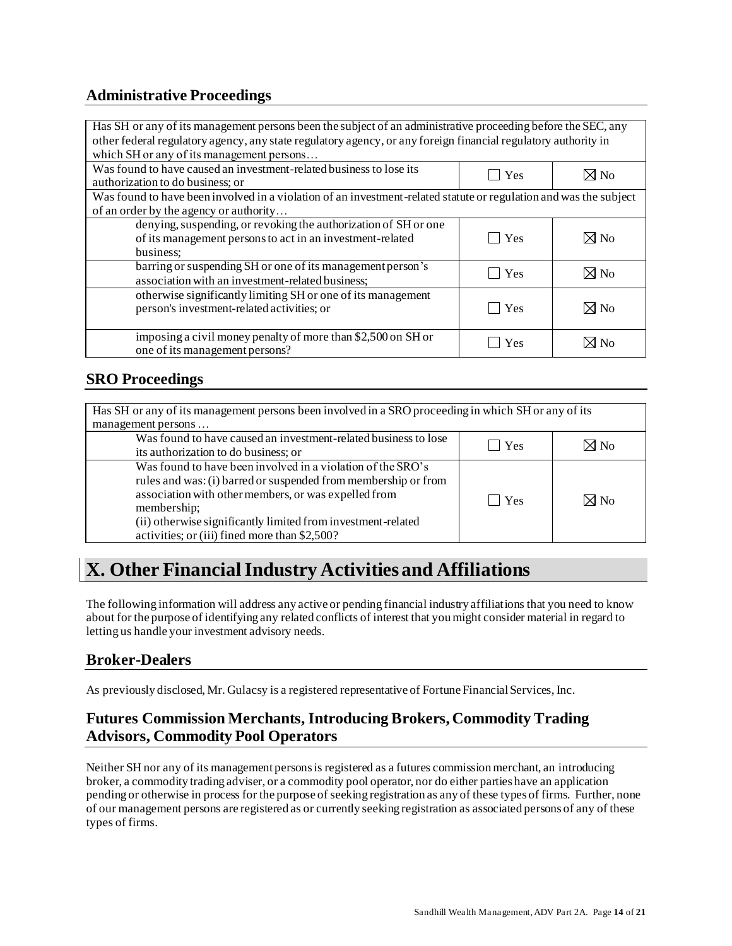# <span id="page-13-0"></span>**Administrative Proceedings**

| Has SH or any of its management persons been the subject of an administrative proceeding before the SEC, any      |             |                |  |
|-------------------------------------------------------------------------------------------------------------------|-------------|----------------|--|
| other federal regulatory agency, any state regulatory agency, or any foreign financial regulatory authority in    |             |                |  |
| which SH or any of its management persons                                                                         |             |                |  |
| Was found to have caused an investment-related business to lose its                                               | $\vert$ Yes | $\boxtimes$ No |  |
| authorization to do business; or                                                                                  |             |                |  |
| Was found to have been involved in a violation of an investment-related statute or regulation and was the subject |             |                |  |
| of an order by the agency or authority                                                                            |             |                |  |
| denying, suspending, or revoking the authorization of SH or one                                                   |             |                |  |
| of its management persons to act in an investment-related                                                         | $\vert$ Yes | $\boxtimes$ No |  |
| business:                                                                                                         |             |                |  |
| barring or suspending SH or one of its management person's                                                        | Yes         | $\boxtimes$ No |  |
| association with an investment-related business;                                                                  |             |                |  |
| otherwise significantly limiting SH or one of its management                                                      |             |                |  |
| person's investment-related activities; or                                                                        | Yes         | $\boxtimes$ No |  |
|                                                                                                                   |             |                |  |
| imposing a civil money penalty of more than \$2,500 on SH or                                                      | Yes         | ⊠ No           |  |
| one of its management persons?                                                                                    |             |                |  |

# <span id="page-13-1"></span>**SRO Proceedings**

| Has SH or any of its management persons been involved in a SRO proceeding in which SH or any of its<br>management persons                                                                                                                                                                                             |            |                |
|-----------------------------------------------------------------------------------------------------------------------------------------------------------------------------------------------------------------------------------------------------------------------------------------------------------------------|------------|----------------|
| Was found to have caused an investment-related business to lose<br>its authorization to do business; or                                                                                                                                                                                                               | $\Box$ Yes | $\times$ No    |
| Was found to have been involved in a violation of the SRO's<br>rules and was: (i) barred or suspended from membership or from<br>association with other members, or was expelled from<br>membership;<br>(ii) otherwise significantly limited from investment-related<br>activities; or (iii) fined more than \$2,500? | l Yes      | $\boxtimes$ No |

# <span id="page-13-2"></span>**X. Other Financial Industry Activities and Affiliations**

The following information will address any active or pending financial industry affiliations that you need to know about for the purpose of identifying any related conflicts of interest that you might consider material in regard to letting us handle your investment advisory needs.

# <span id="page-13-3"></span>**Broker-Dealers**

As previously disclosed, Mr. Gulacsy is a registered representative of Fortune Financial Services, Inc.

# <span id="page-13-4"></span>**Futures Commission Merchants, Introducing Brokers, Commodity Trading Advisors, Commodity Pool Operators**

Neither SH nor any of its management persons is registered as a futures commission merchant, an introducing broker, a commodity trading adviser, or a commodity pool operator, nor do either parties have an application pending or otherwise in process for the purpose of seeking registration as any of these types of firms. Further, none of our management persons are registered as or currently seeking registration as associated persons of any of these types of firms.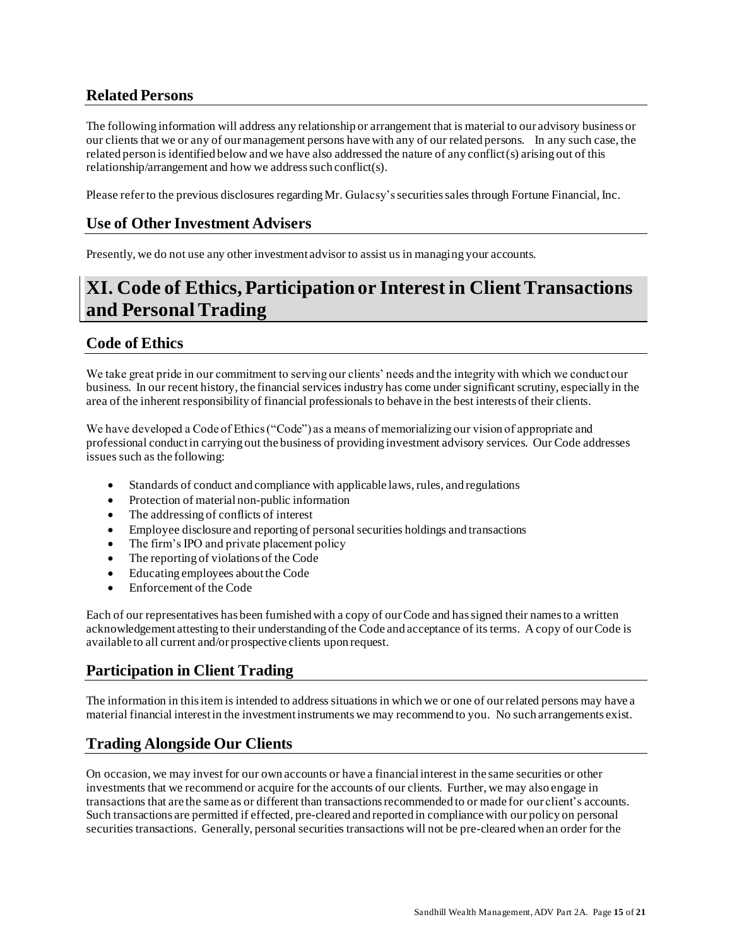# <span id="page-14-0"></span>**Related Persons**

The following information will address any relationship or arrangement that is material to our advisory business or our clients that we or any of our management persons have with any of our related persons. In any such case, the related person is identified below and we have also addressed the nature of any conflict(s) arising out of this relationship/arrangement and how we address such conflict(s).

<span id="page-14-1"></span>Please refer to the previous disclosures regarding Mr. Gulacsy'ssecurities sales through Fortune Financial, Inc.

### **Use of Other Investment Advisers**

Presently, we do not use any other investment advisor to assist us in managing your accounts.

# <span id="page-14-2"></span>**XI. Code of Ethics, Participation or Interest in Client Transactions and Personal Trading**

### <span id="page-14-3"></span>**Code of Ethics**

We take great pride in our commitment to serving our clients' needs and the integrity with which we conduct our business. In our recent history, the financial services industry has come under significant scrutiny, especially in the area of the inherent responsibility of financial professionals to behave in the best interests of their clients.

We have developed a Code of Ethics ("Code") as a means of memorializing our vision of appropriate and professional conduct in carrying out the business of providing investment advisory services. Our Code addresses issues such as the following:

- Standards of conduct and compliance with applicable laws, rules, and regulations
- Protection of material non-public information
- The addressing of conflicts of interest
- Employee disclosure and reporting of personal securities holdings and transactions
- The firm's IPO and private placement policy
- The reporting of violations of the Code
- Educating employees about the Code
- Enforcement of the Code

Each of our representatives has been furnished with a copy of our Code and has signed their names to a written acknowledgement attesting to their understanding of the Code and acceptance of its terms. A copy of our Code is available to all current and/or prospective clients upon request.

# <span id="page-14-4"></span>**Participation in Client Trading**

The information in this item is intended to address situations in which we or one of our related persons may have a material financial interest in the investment instruments we may recommend to you. No such arrangements exist.

# <span id="page-14-5"></span>**Trading Alongside Our Clients**

On occasion, we may invest for our own accounts or have a financial interest in the same securities or other investments that we recommend or acquire for the accounts of our clients. Further, we may also engage in transactions that are the same as or different than transactions recommended to or made for our client's accounts. Such transactions are permitted if effected, pre-cleared and reported in compliance with our policy on personal securities transactions. Generally, personal securities transactions will not be pre-cleared when an order for the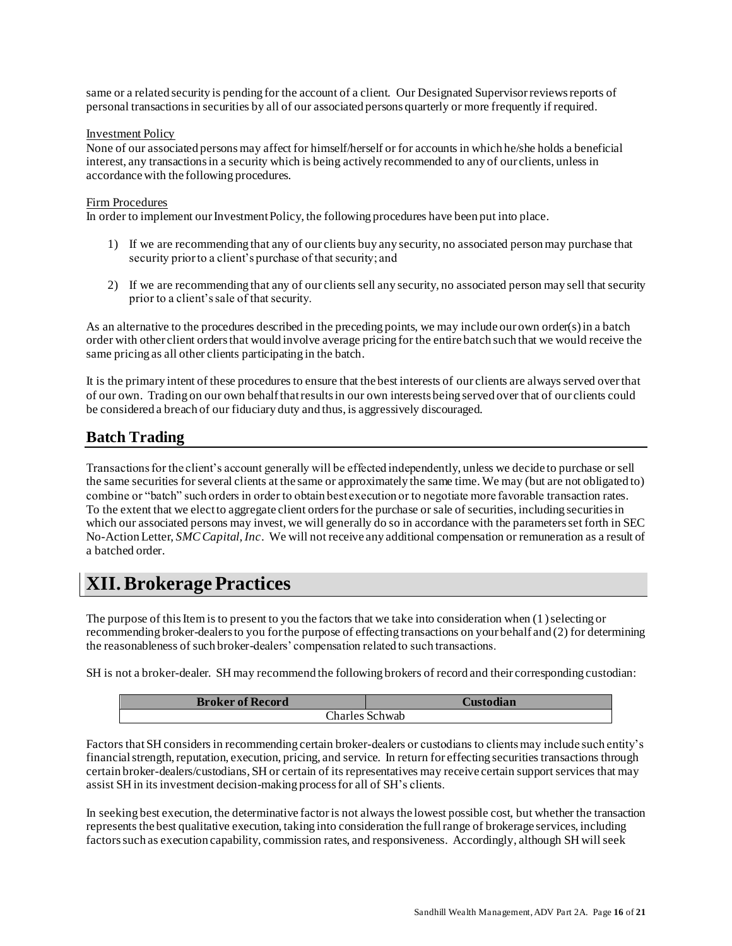same or a related security is pending for the account of a client. Our Designated Supervisor reviews reports of personal transactions in securities by all of our associated persons quarterly or more frequently if required.

#### Investment Policy

None of our associated persons may affect for himself/herself or for accounts in which he/she holds a beneficial interest, any transactions in a security which is being actively recommended to any of our clients, unless in accordance with the following procedures.

#### Firm Procedures

In order to implement our Investment Policy, the following procedures have been put into place.

- 1) If we are recommending that any of our clients buy any security, no associated person may purchase that security prior to a client's purchase of that security; and
- 2) If we are recommending that any of our clients sell any security, no associated person may sell that security prior to a client's sale of that security.

As an alternative to the procedures described in the preceding points, we may include our own order(s) in a batch order with other client orders that would involve average pricing for the entire batch such that we would receive the same pricing as all other clients participating in the batch.

It is the primary intent of these procedures to ensure that the best interests of our clients are always served over that of our own. Trading on our own behalf that results in our own interests being served over that of our clients could be considered a breach of our fiduciary duty and thus, is aggressively discouraged.

### <span id="page-15-0"></span>**Batch Trading**

Transactions for the client's account generally will be effected independently, unless we decide to purchase or sell the same securities for several clients at the same or approximately the same time. We may (but are not obligated to) combine or "batch" such orders in order to obtain best execution or to negotiate more favorable transaction rates. To the extent that we elect to aggregate client orders for the purchase or sale of securities, including securities in which our associated persons may invest, we will generally do so in accordance with the parameters set forth in SEC No-Action Letter, *SMC Capital, Inc*. We will not receive any additional compensation or remuneration as a result of a batched order.

# <span id="page-15-1"></span>**XII. Brokerage Practices**

The purpose of this Item is to present to you the factors that we take into consideration when (1 ) selecting or recommending broker-dealers to you for the purpose of effecting transactions on your behalf and (2) for determining the reasonableness of such broker-dealers' compensation related to such transactions.

SH is not a broker-dealer. SH may recommend the following brokers of record and their corresponding custodian:

| <b>Broker of Record</b> | Custodian |  |
|-------------------------|-----------|--|
| Charles Schwab          |           |  |

Factors that SH considers in recommending certain broker-dealers or custodians to clients may include such entity's financial strength, reputation, execution, pricing, and service. In return for effecting securities transactions through certain broker-dealers/custodians, SH or certain of its representatives may receive certain support services that may assist SH in its investment decision-making process for all of SH's clients.

In seeking best execution, the determinative factor is not always the lowest possible cost, but whether the transaction represents the best qualitative execution, taking into consideration the full range of brokerage services, including factors such as execution capability, commission rates, and responsiveness. Accordingly, although SH will seek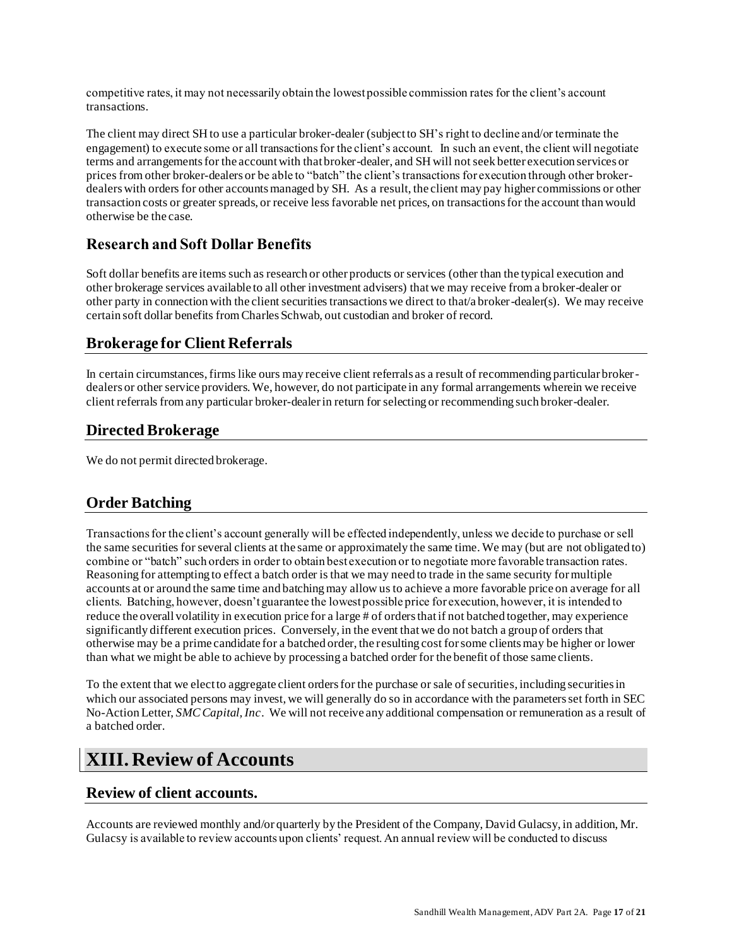competitive rates, it may not necessarily obtain the lowest possible commission rates for the client's account transactions.

The client may direct SH to use a particular broker-dealer (subject to SH's right to decline and/or terminate the engagement) to execute some or all transactions for the client's account. In such an event, the client will negotiate terms and arrangements for the account with that broker-dealer, and SH will not seek better execution services or prices from other broker-dealers or be able to "batch" the client's transactions for execution through other brokerdealers with orders for other accounts managed by SH. As a result, the client may pay higher commissions or other transaction costs or greater spreads, or receive less favorable net prices, on transactions for the account than would otherwise be the case.

# <span id="page-16-0"></span>**Research and Soft Dollar Benefits**

Soft dollar benefits are items such as research or other products or services (other than the typical execution and other brokerage services available to all other investment advisers) that we may receive from a broker-dealer or other party in connection with the client securities transactions we direct to that/a broker-dealer(s). We may receive certain soft dollar benefits from Charles Schwab, out custodian and broker of record.

# <span id="page-16-1"></span>**Brokerage for Client Referrals**

In certain circumstances, firms like ours may receive client referrals as a result of recommending particular brokerdealers or other service providers. We, however, do not participate in any formal arrangements wherein we receive client referrals from any particular broker-dealer in return for selecting or recommending such broker-dealer.

### <span id="page-16-2"></span>**Directed Brokerage**

We do not permit directed brokerage.

# <span id="page-16-3"></span>**Order Batching**

Transactions for the client's account generally will be effected independently, unless we decide to purchase or sell the same securities for several clients at the same or approximately the same time. We may (but are not obligated to) combine or "batch" such orders in order to obtain best execution or to negotiate more favorable transaction rates. Reasoning for attempting to effect a batch order is that we may need to trade in the same security for multiple accounts at or around the same time and batching may allow us to achieve a more favorable price on average for all clients. Batching, however, doesn't guarantee the lowest possible price for execution, however, it is intended to reduce the overall volatility in execution price for a large # of orders that if not batched together, may experience significantly different execution prices. Conversely, in the event that we do not batch a group of orders that otherwise may be a prime candidate for a batched order, the resulting cost for some clients may be higher or lower than what we might be able to achieve by processing a batched order for the benefit of those same clients.

To the extent that we elect to aggregate client orders for the purchase or sale of securities, including securities in which our associated persons may invest, we will generally do so in accordance with the parameters set forth in SEC No-Action Letter, *SMC Capital, Inc*. We will not receive any additional compensation or remuneration as a result of a batched order.

# <span id="page-16-4"></span>**XIII. Review of Accounts**

### <span id="page-16-5"></span>**Review of client accounts.**

Accounts are reviewed monthly and/or quarterly by the President of the Company, David Gulacsy, in addition, Mr. Gulacsy is available to review accounts upon clients' request. An annual review will be conducted to discuss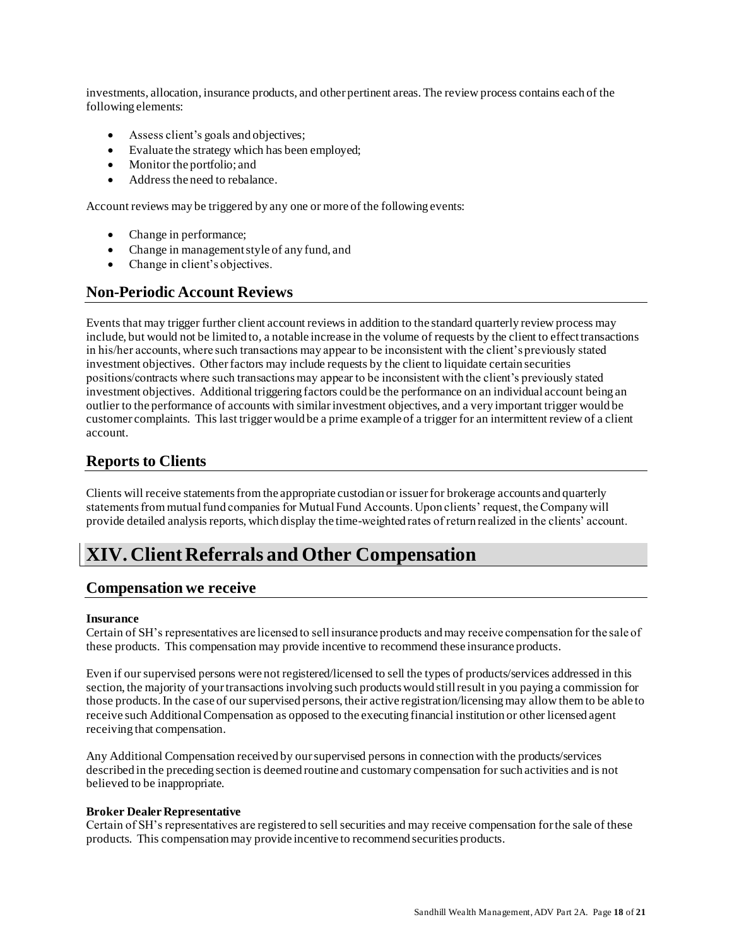investments, allocation, insurance products, and other pertinent areas. The review process contains each of the following elements:

- Assess client's goals and objectives;
- Evaluate the strategy which has been employed;
- Monitor the portfolio; and
- Address the need to rebalance.

Account reviews may be triggered by any one or more of the following events:

- Change in performance;
- Change in management style of any fund, and
- Change in client's objectives.

### <span id="page-17-0"></span>**Non-Periodic Account Reviews**

Events that may trigger further client account reviews in addition to the standard quarterly review process may include, but would not be limited to, a notable increase in the volume of requests by the client to effect transactions in his/her accounts, where such transactions may appear to be inconsistent with the client's previously stated investment objectives. Other factors may include requests by the client to liquidate certain securities positions/contracts where such transactions may appear to be inconsistent with the client's previously stated investment objectives. Additional triggering factors could be the performance on an individual account being an outlier to the performance of accounts with similar investment objectives, and a very important trigger would be customer complaints. This last trigger would be a prime example of a trigger for an intermittent review of a client account.

### <span id="page-17-1"></span>**Reports to Clients**

Clients will receive statements from the appropriate custodian or issuer for brokerage accounts and quarterly statements from mutual fund companies for Mutual Fund Accounts. Upon clients' request, the Company will provide detailed analysis reports, which display the time-weighted rates of return realized in the clients' account.

# <span id="page-17-2"></span>**XIV. Client Referrals and Other Compensation**

#### <span id="page-17-3"></span>**Compensation we receive**

#### **Insurance**

Certain of SH's representatives are licensed to sell insurance products and may receive compensation for the sale of these products. This compensation may provide incentive to recommend these insurance products.

Even if our supervised persons were not registered/licensed to sell the types of products/services addressed in this section, the majority of your transactions involving such products would still result in you paying a commission for those products. In the case of our supervised persons, their active registration/licensing may allow them to be able to receive such Additional Compensation as opposed to the executing financial institution or other licensed agent receiving that compensation.

Any Additional Compensation received by our supervised persons in connection with the products/services described in the preceding section is deemed routine and customary compensation for such activities and is not believed to be inappropriate.

#### **Broker Dealer Representative**

Certain of SH's representatives are registered to sell securities and may receive compensation for the sale of these products. This compensation may provide incentive to recommend securities products.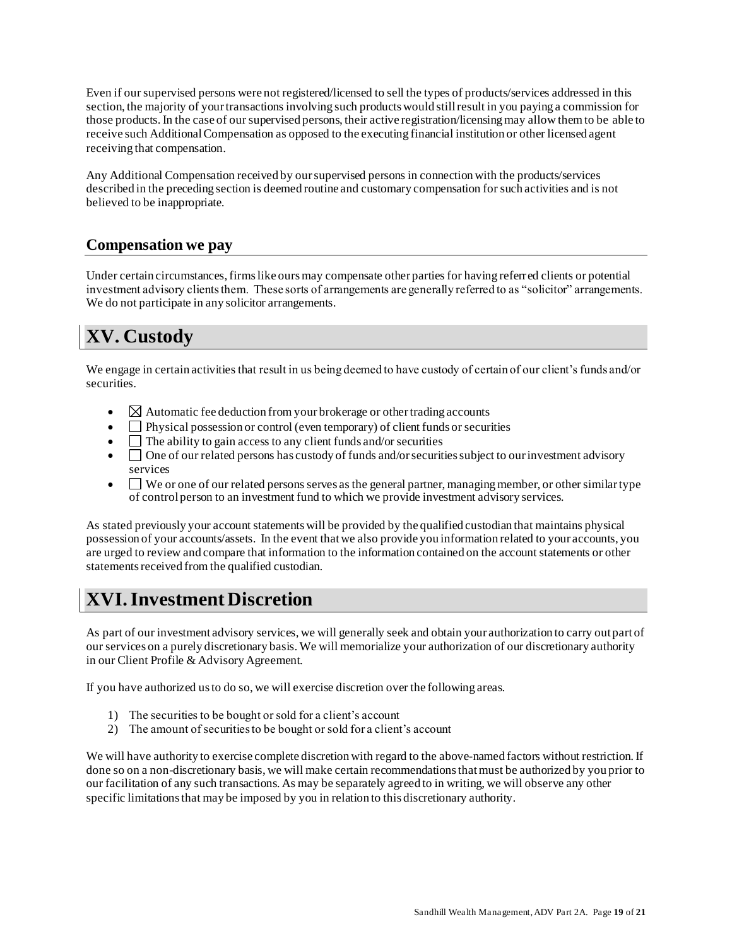Even if our supervised persons were not registered/licensed to sell the types of products/services addressed in this section, the majority of your transactions involving such products would still result in you paying a commission for those products. In the case of our supervised persons, their active registration/licensing may allow them to be able to receive such Additional Compensation as opposed to the executing financial institution or other licensed agent receiving that compensation.

Any Additional Compensation received by our supervised persons in connection with the products/services described in the preceding section is deemed routine and customary compensation for such activities and is not believed to be inappropriate.

# <span id="page-18-0"></span>**Compensation we pay**

Under certain circumstances, firms like ours may compensate other parties for having referred clients or potential investment advisory clients them. These sorts of arrangements are generally referred to as "solicitor" arrangements. We do not participate in any solicitor arrangements.

# <span id="page-18-1"></span>**XV. Custody**

We engage in certain activities that result in us being deemed to have custody of certain of our client's funds and/or securities.

- $\Box$  Automatic fee deduction from your brokerage or other trading accounts
- $\Box$  Physical possession or control (even temporary) of client funds or securities
- $\Box$  The ability to gain access to any client funds and/or securities
- $\Box$  One of our related persons has custody of funds and/or securities subject to our investment advisory services
- $\Box$  We or one of our related persons serves as the general partner, managing member, or other similar type of control person to an investment fund to which we provide investment advisory services.

As stated previously your account statements will be provided by the qualified custodian that maintains physical possession of your accounts/assets. In the event that we also provide you information related to your accounts, you are urged to review and compare that information to the information contained on the account statements or other statements received from the qualified custodian.

# <span id="page-18-2"></span>**XVI. Investment Discretion**

As part of our investment advisory services, we will generally seek and obtain your authorization to carry out part of our services on a purely discretionary basis. We will memorialize your authorization of our discretionary authority in our Client Profile & Advisory Agreement.

If you have authorized us to do so, we will exercise discretion over the following areas.

- 1) The securities to be bought or sold for a client's account
- 2) The amount of securities to be bought or sold for a client's account

We will have authority to exercise complete discretion with regard to the above-named factors without restriction. If done so on a non-discretionary basis, we will make certain recommendations that must be authorized by you prior to our facilitation of any such transactions. As may be separately agreed to in writing, we will observe any other specific limitations that may be imposed by you in relation to this discretionary authority.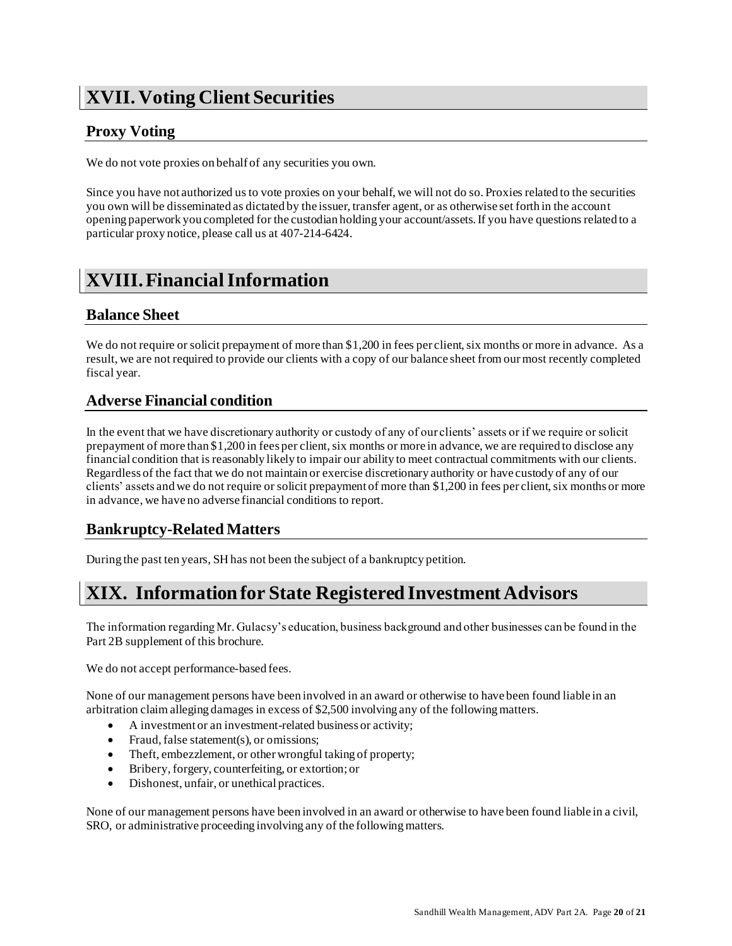# <span id="page-19-0"></span>**XVII. Voting Client Securities**

# <span id="page-19-1"></span>**Proxy Voting**

We do not vote proxies on behalf of any securities you own.

Since you have not authorized us to vote proxies on your behalf, we will not do so. Proxies related to the securities you own will be disseminated as dictated by the issuer, transfer agent, or as otherwise set forth in the account opening paperwork you completed for the custodian holding your account/assets. If you have questions related to a particular proxy notice, please call us at 407-214-6424.

# <span id="page-19-2"></span>**XVIII. Financial Information**

# <span id="page-19-3"></span>**Balance Sheet**

We do not require or solicit prepayment of more than \$1,200 in fees per client, six months or more in advance. As a result, we are not required to provide our clients with a copy of our balance sheet from our most recently completed fiscal year.

# <span id="page-19-4"></span>**Adverse Financial condition**

In the event that we have discretionary authority or custody of any of our clients' assets or if we require or solicit prepayment of more than \$1,200 in fees per client, six months or more in advance, we are required to disclose any financial condition that is reasonably likely to impair our ability to meet contractual commitments with our clients. Regardless of the fact that we do not maintain or exercise discretionary authority or have custody of any of our clients' assets and we do not require or solicit prepayment of more than \$1,200 in fees per client, six months or more in advance, we have no adverse financial conditions to report.

# <span id="page-19-5"></span>**Bankruptcy-Related Matters**

During the past ten years, SH has not been the subject of a bankruptcy petition.

# **XIX. Information for State Registered Investment Advisors**

The information regarding Mr. Gulacsy's education, business background and other businesses can be found in the Part 2B supplement of this brochure.

We do not accept performance-based fees.

None of our management persons have been involved in an award or otherwise to have been found liable in an arbitration claim alleging damages in excess of \$2,500 involving any of the following matters.

- A investment or an investment-related business or activity;
- Fraud, false statement(s), or omissions;
- Theft, embezzlement, or other wrongful taking of property;
- Bribery, forgery, counterfeiting, or extortion; or
- Dishonest, unfair, or unethical practices.

None of our management persons have been involved in an award or otherwise to have been found liable in a civil, SRO, or administrative proceeding involving any of the following matters.